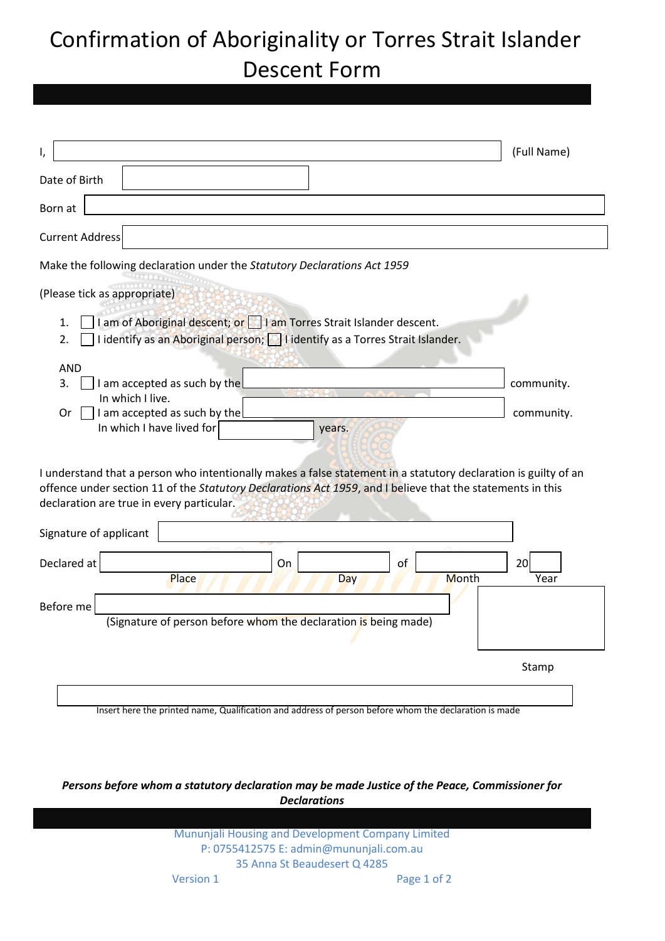## Confirmation of Aboriginality or Torres Strait Islander Descent Form

| ۱,                                                                                                                                                                                                                                                                         | (Full Name)              |  |
|----------------------------------------------------------------------------------------------------------------------------------------------------------------------------------------------------------------------------------------------------------------------------|--------------------------|--|
| Date of Birth                                                                                                                                                                                                                                                              |                          |  |
| Born at                                                                                                                                                                                                                                                                    |                          |  |
| <b>Current Address</b>                                                                                                                                                                                                                                                     |                          |  |
| Make the following declaration under the Statutory Declarations Act 1959                                                                                                                                                                                                   |                          |  |
| (Please tick as appropriate)<br>I am of Aboriginal descent; or I I am Torres Strait Islander descent.<br>1.<br>I identify as an Aboriginal person; I I identify as a Torres Strait Islander.<br>2.                                                                         |                          |  |
| <b>AND</b><br>3.<br>I am accepted as such by the<br>In which I live.<br>I am accepted as such by the<br>Or<br>In which I have lived for<br>years.                                                                                                                          | community.<br>community. |  |
| I understand that a person who intentionally makes a false statement in a statutory declaration is guilty of an<br>offence under section 11 of the Statutory Declarations Act 1959, and I believe that the statements in this<br>declaration are true in every particular. |                          |  |
| Signature of applicant                                                                                                                                                                                                                                                     |                          |  |
| Declared at<br>0f<br>On<br>Place<br>Month<br>Day                                                                                                                                                                                                                           | 20<br>Year               |  |
| Before me<br>(Signature of person before whom the declaration is being made)                                                                                                                                                                                               |                          |  |
|                                                                                                                                                                                                                                                                            | Stamp                    |  |
|                                                                                                                                                                                                                                                                            |                          |  |

Insert here the printed name, Qualification and address of person before whom the declaration is made

*Persons before whom a statutory declaration may be made Justice of the Peace, Commissioner for Declarations*

> Mununjali Housing and Development Company Limited P: 0755412575 E: admin@mununjali.com.au 35 Anna St Beaudesert Q 4285 Version 1 Page 1 of 2